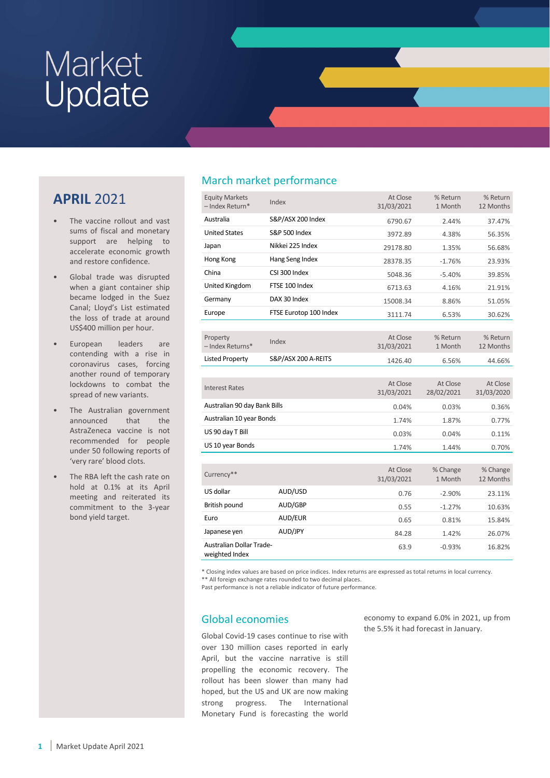### APRIL 2021

- The vaccine rollout and vast sums of fiscal and monetary support are helping to accelerate economic growth and restore confidence.
- Global trade was disrupted when a giant container ship became lodged in the Suez Canal; Lloyd's List estimated the loss of trade at around US\$400 million per hour.
- European leaders are contending with a rise in coronavirus cases, forcing another round of temporary lockdowns to combat the spread of new variants.
- The Australian government announced that the AstraZeneca vaccine is not recommended for people under 50 following reports of 'very rare' blood clots.
- The RBA left the cash rate on hold at 0.1% at its April meeting and reiterated its commitment to the 3-year bond yield target.

### March market performance

| <b>Equity Markets</b><br>- Index Return*          | Index                    | At Close<br>31/03/2021 | % Return<br>1 Month    | % Return<br>12 Months  |
|---------------------------------------------------|--------------------------|------------------------|------------------------|------------------------|
| Australia                                         | S&P/ASX 200 Index        | 6790.67                | 2.44%                  | 37.47%                 |
| <b>United States</b>                              | <b>S&amp;P 500 Index</b> | 3972.89                | 4.38%                  | 56.35%                 |
| Japan                                             | Nikkei 225 Index         | 29178.80               | 1.35%                  | 56.68%                 |
| Hong Kong                                         | Hang Seng Index          | 28378.35               | $-1.76%$               | 23.93%                 |
| China                                             | CSI 300 Index            | 5048.36                | $-5.40%$               | 39.85%                 |
| United Kingdom                                    | FTSE 100 Index           | 6713.63                | 4.16%                  | 21.91%                 |
| Germany                                           | DAX 30 Index             | 15008.34               | 8.86%                  | 51.05%                 |
| Europe                                            | FTSE Eurotop 100 Index   | 3111.74                | 6.53%                  | 30.62%                 |
|                                                   |                          |                        |                        |                        |
| Property                                          | Index                    | At Close               | % Return               | % Return               |
| - Index Returns*                                  |                          | 31/03/2021             | 1 Month                | 12 Months              |
| <b>Listed Property</b>                            | S&P/ASX 200 A-REITS      | 1426.40                | 6.56%                  | 44.66%                 |
|                                                   |                          |                        |                        |                        |
| <b>Interest Rates</b>                             |                          | At Close<br>31/03/2021 | At Close<br>28/02/2021 | At Close<br>31/03/2020 |
| Australian 90 day Bank Bills                      |                          | 0.04%                  | 0.03%                  | 0.36%                  |
| Australian 10 year Bonds                          |                          | 1.74%                  | 1.87%                  | 0.77%                  |
| US 90 day T Bill                                  |                          | 0.03%                  | 0.04%                  | 0.11%                  |
| US 10 year Bonds                                  |                          | 1.74%                  | 1.44%                  | 0.70%                  |
|                                                   |                          |                        |                        |                        |
| Currency**                                        |                          | At Close<br>31/03/2021 | % Change<br>1 Month    | % Change<br>12 Months  |
| US dollar                                         | AUD/USD                  | 0.76                   | $-2.90%$               | 23.11%                 |
| British pound                                     | AUD/GBP                  | 0.55                   | $-1.27%$               | 10.63%                 |
| Euro                                              | AUD/EUR                  | 0.65                   | 0.81%                  | 15.84%                 |
| Japanese yen                                      | AUD/JPY                  | 84.28                  | 1.42%                  | 26.07%                 |
| <b>Australian Dollar Trade-</b><br>weighted Index |                          | 63.9                   | $-0.93%$               | 16.82%                 |

\* Closing index values are based on price indices. Index returns are expressed as total returns in local currency. \*\* All foreign exchange rates rounded to two decimal places.

Past performance is not a reliable indicator of future performance.

### Global economies

Global Covid-19 cases continue to rise with over 130 million cases reported in early April, but the vaccine narrative is still propelling the economic recovery. The rollout has been slower than many had hoped, but the US and UK are now making strong progress. The International Monetary Fund is forecasting the world

economy to expand 6.0% in 2021, up from the 5.5% it had forecast in January.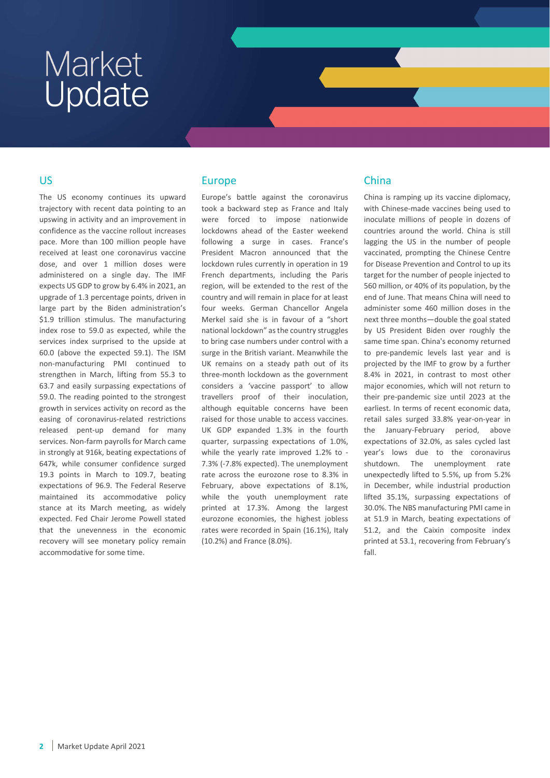#### US

The US economy continues its upward trajectory with recent data pointing to an upswing in activity and an improvement in confidence as the vaccine rollout increases pace. More than 100 million people have received at least one coronavirus vaccine dose, and over 1 million doses were administered on a single day. The IMF expects US GDP to grow by 6.4% in 2021, an upgrade of 1.3 percentage points, driven in large part by the Biden administration's \$1.9 trillion stimulus. The manufacturing index rose to 59.0 as expected, while the services index surprised to the upside at 60.0 (above the expected 59.1). The ISM non-manufacturing PMI continued to strengthen in March, lifting from 55.3 to 63.7 and easily surpassing expectations of 59.0. The reading pointed to the strongest growth in services activity on record as the easing of coronavirus-related restrictions released pent-up demand for many services. Non-farm payrolls for March came in strongly at 916k, beating expectations of 647k, while consumer confidence surged 19.3 points in March to 109.7, beating expectations of 96.9. The Federal Reserve maintained its accommodative policy stance at its March meeting, as widely expected. Fed Chair Jerome Powell stated that the unevenness in the economic recovery will see monetary policy remain accommodative for some time.

#### Europe

Europe's battle against the coronavirus took a backward step as France and Italy were forced to impose nationwide lockdowns ahead of the Easter weekend following a surge in cases. France's President Macron announced that the lockdown rules currently in operation in 19 French departments, including the Paris region, will be extended to the rest of the country and will remain in place for at least four weeks. German Chancellor Angela Merkel said she is in favour of a "short national lockdown" as the country struggles to bring case numbers under control with a surge in the British variant. Meanwhile the UK remains on a steady path out of its three-month lockdown as the government considers a 'vaccine passport' to allow travellers proof of their inoculation, although equitable concerns have been raised for those unable to access vaccines. UK GDP expanded 1.3% in the fourth quarter, surpassing expectations of 1.0%, while the yearly rate improved 1.2% to - 7.3% (-7.8% expected). The unemployment rate across the eurozone rose to 8.3% in February, above expectations of 8.1%, while the youth unemployment rate printed at 17.3%. Among the largest eurozone economies, the highest jobless rates were recorded in Spain (16.1%), Italy (10.2%) and France (8.0%).

#### China

China is ramping up its vaccine diplomacy, with Chinese-made vaccines being used to inoculate millions of people in dozens of countries around the world. China is still lagging the US in the number of people vaccinated, prompting the Chinese Centre for Disease Prevention and Control to up its target for the number of people injected to 560 million, or 40% of its population, by the end of June. That means China will need to administer some 460 million doses in the next three months—double the goal stated by US President Biden over roughly the same time span. China's economy returned to pre-pandemic levels last year and is projected by the IMF to grow by a further 8.4% in 2021, in contrast to most other major economies, which will not return to their pre-pandemic size until 2023 at the earliest. In terms of recent economic data, retail sales surged 33.8% year-on-year in the January-February period, above expectations of 32.0%, as sales cycled last year's lows due to the coronavirus shutdown. The unemployment rate unexpectedly lifted to 5.5%, up from 5.2% in December, while industrial production lifted 35.1%, surpassing expectations of 30.0%. The NBS manufacturing PMI came in at 51.9 in March, beating expectations of 51.2, and the Caixin composite index printed at 53.1, recovering from February's fall.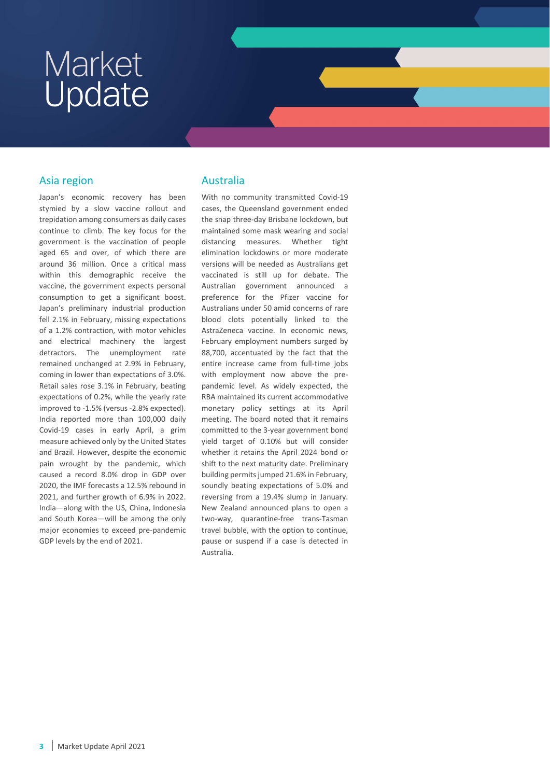#### Asia region

Japan's economic recovery has been stymied by a slow vaccine rollout and trepidation among consumers as daily cases continue to climb. The key focus for the government is the vaccination of people aged 65 and over, of which there are around 36 million. Once a critical mass within this demographic receive the vaccine, the government expects personal consumption to get a significant boost. Japan's preliminary industrial production fell 2.1% in February, missing expectations of a 1.2% contraction, with motor vehicles and electrical machinery the largest detractors. The unemployment rate remained unchanged at 2.9% in February, coming in lower than expectations of 3.0%. Retail sales rose 3.1% in February, beating expectations of 0.2%, while the yearly rate improved to -1.5% (versus -2.8% expected). India reported more than 100,000 daily Covid-19 cases in early April, a grim measure achieved only by the United States and Brazil. However, despite the economic pain wrought by the pandemic, which caused a record 8.0% drop in GDP over 2020, the IMF forecasts a 12.5% rebound in 2021, and further growth of 6.9% in 2022. India—along with the US, China, Indonesia and South Korea—will be among the only major economies to exceed pre-pandemic GDP levels by the end of 2021.

#### Australia

With no community transmitted Covid-19 cases, the Queensland government ended the snap three-day Brisbane lockdown, but maintained some mask wearing and social distancing measures. Whether tight elimination lockdowns or more moderate versions will be needed as Australians get vaccinated is still up for debate. The Australian government announced a preference for the Pfizer vaccine for Australians under 50 amid concerns of rare blood clots potentially linked to the AstraZeneca vaccine. In economic news, February employment numbers surged by 88,700, accentuated by the fact that the entire increase came from full-time jobs with employment now above the prepandemic level. As widely expected, the RBA maintained its current accommodative monetary policy settings at its April meeting. The board noted that it remains committed to the 3-year government bond yield target of 0.10% but will consider whether it retains the April 2024 bond or shift to the next maturity date. Preliminary building permits jumped 21.6% in February, soundly beating expectations of 5.0% and reversing from a 19.4% slump in January. New Zealand announced plans to open a two-way, quarantine-free trans-Tasman travel bubble, with the option to continue, pause or suspend if a case is detected in Australia.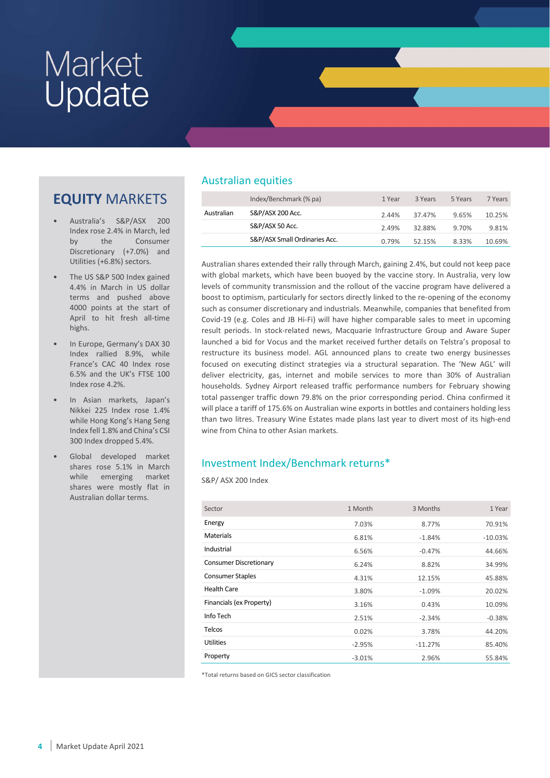## EQUITY MARKETS

- Australia's S&P/ASX 200 Index rose 2.4% in March, led by the Consumer Discretionary (+7.0%) and Utilities (+6.8%) sectors.
- The US S&P 500 Index gained 4.4% in March in US dollar terms and pushed above 4000 points at the start of April to hit fresh all-time highs.
- In Europe, Germany's DAX 30 Index rallied 8.9%, while France's CAC 40 Index rose 6.5% and the UK's FTSE 100 Index rose 4.2%.
- In Asian markets, Japan's Nikkei 225 Index rose 1.4% while Hong Kong's Hang Seng Index fell 1.8% and China's CSI 300 Index dropped 5.4%.
- Global developed market shares rose 5.1% in March while emerging market shares were mostly flat in Australian dollar terms.

### Australian equities

|            | Index/Benchmark (% pa)        | 1 Year | 3 Years | 5 Years | 7 Years |
|------------|-------------------------------|--------|---------|---------|---------|
| Australian | S&P/ASX 200 Acc.              | 2.44%  | 37.47%  | 9.65%   | 10.25%  |
|            | S&P/ASX 50 Acc.               | 2.49%  | 32.88%  | 9.70%   | 9.81%   |
|            | S&P/ASX Small Ordinaries Acc. | 0.79%  | 52.15%  | 8.33%   | 10.69%  |

Australian shares extended their rally through March, gaining 2.4%, but could not keep pace with global markets, which have been buoyed by the vaccine story. In Australia, very low levels of community transmission and the rollout of the vaccine program have delivered a boost to optimism, particularly for sectors directly linked to the re-opening of the economy such as consumer discretionary and industrials. Meanwhile, companies that benefited from Covid-19 (e.g. Coles and JB Hi-Fi) will have higher comparable sales to meet in upcoming result periods. In stock-related news, Macquarie Infrastructure Group and Aware Super launched a bid for Vocus and the market received further details on Telstra's proposal to restructure its business model. AGL announced plans to create two energy businesses focused on executing distinct strategies via a structural separation. The 'New AGL' will deliver electricity, gas, internet and mobile services to more than 30% of Australian households. Sydney Airport released traffic performance numbers for February showing total passenger traffic down 79.8% on the prior corresponding period. China confirmed it will place a tariff of 175.6% on Australian wine exports in bottles and containers holding less than two litres. Treasury Wine Estates made plans last year to divert most of its high-end wine from China to other Asian markets.

### Investment Index/Benchmark returns\*

S&P/ ASX 200 Index

| Sector                   | 1 Month  | 3 Months  | 1 Year    |
|--------------------------|----------|-----------|-----------|
| Energy                   | 7.03%    | 8.77%     | 70.91%    |
| <b>Materials</b>         | 6.81%    | $-1.84%$  | $-10.03%$ |
| Industrial               | 6.56%    | $-0.47%$  | 44.66%    |
| Consumer Discretionary   | 6.24%    | 8.82%     | 34.99%    |
| <b>Consumer Staples</b>  | 4.31%    | 12.15%    | 45.88%    |
| <b>Health Care</b>       | 3.80%    | $-1.09%$  | 20.02%    |
| Financials (ex Property) | 3.16%    | 0.43%     | 10.09%    |
| Info Tech                | 2.51%    | $-2.34%$  | $-0.38%$  |
| <b>Telcos</b>            | 0.02%    | 3.78%     | 44.20%    |
| <b>Utilities</b>         | $-2.95%$ | $-11.27%$ | 85.40%    |
| Property                 | $-3.01%$ | 2.96%     | 55.84%    |

\*Total returns based on GICS sector classification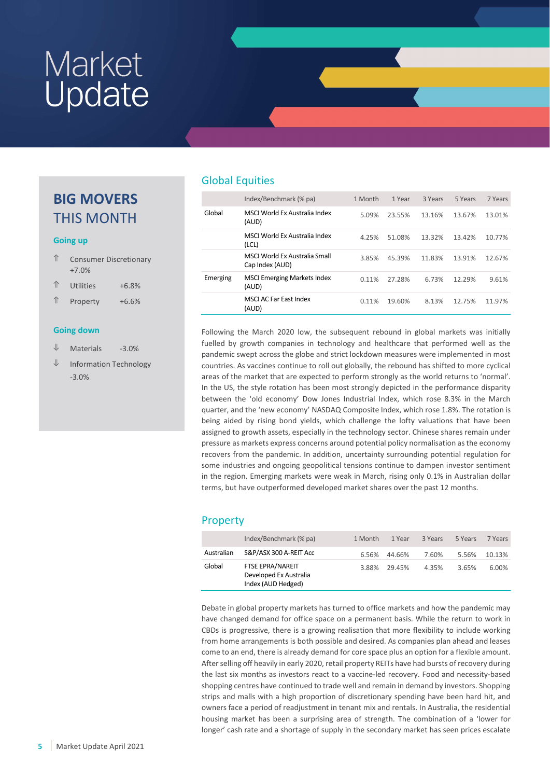### BIG MOVERS THIS MONTH

#### Going up

| ⇑ | <b>Consumer Discretionary</b> |
|---|-------------------------------|
|   | $+7.0%$                       |

| ⇑ | Utilities | $+6.8%$ |
|---|-----------|---------|
|   |           |         |

⇑ Property +6.6%

#### Going down

- $\Psi$  Materials -3.0%
- ⇓ Information Technology -3.0%

#### Global Equities

|          | Index/Benchmark (% pa)                           | 1 Month | 1 Year | 3 Years | 5 Years | 7 Years |
|----------|--------------------------------------------------|---------|--------|---------|---------|---------|
| Global   | MSCLWorld Ex Australia Index<br>(AUD)            | 5.09%   | 23.55% | 13.16%  | 13.67%  | 13.01%  |
|          | MSCLWorld Ex Australia Index<br>(LCL)            | 4.25%   | 51.08% | 13.32%  | 13.42%  | 10.77%  |
|          | MSCI World Ex Australia Small<br>Cap Index (AUD) | 3.85%   | 45.39% | 11.83%  | 13.91%  | 12.67%  |
| Emerging | <b>MSCI Emerging Markets Index</b><br>(AUD)      | 0.11%   | 27.28% | 6.73%   | 12.29%  | 9.61%   |
|          | <b>MSCI AC Far East Index</b><br>(AUD)           | 0.11%   | 19.60% | 8.13%   | 12.75%  | 11.97%  |

Following the March 2020 low, the subsequent rebound in global markets was initially fuelled by growth companies in technology and healthcare that performed well as the pandemic swept across the globe and strict lockdown measures were implemented in most countries. As vaccines continue to roll out globally, the rebound has shifted to more cyclical areas of the market that are expected to perform strongly as the world returns to 'normal'. In the US, the style rotation has been most strongly depicted in the performance disparity between the 'old economy' Dow Jones Industrial Index, which rose 8.3% in the March quarter, and the 'new economy' NASDAQ Composite Index, which rose 1.8%. The rotation is being aided by rising bond yields, which challenge the lofty valuations that have been assigned to growth assets, especially in the technology sector. Chinese shares remain under pressure as markets express concerns around potential policy normalisation as the economy recovers from the pandemic. In addition, uncertainty surrounding potential regulation for some industries and ongoing geopolitical tensions continue to dampen investor sentiment in the region. Emerging markets were weak in March, rising only 0.1% in Australian dollar terms, but have outperformed developed market shares over the past 12 months.

#### Property

|            | Index/Benchmark (% pa)                                                  | 1 Month | 1 Year | 3 Years | 5 Years | 7 Years |
|------------|-------------------------------------------------------------------------|---------|--------|---------|---------|---------|
| Australian | S&P/ASX 300 A-REIT Acc                                                  | 6.56%   | 44.66% | 7.60%   | 5.56%   | 10.13%  |
| Global     | <b>FTSE EPRA/NAREIT</b><br>Developed Ex Australia<br>Index (AUD Hedged) | 3.88%   | 29.45% | 4.35%   | 3.65%   | 6.00%   |

Debate in global property markets has turned to office markets and how the pandemic may have changed demand for office space on a permanent basis. While the return to work in CBDs is progressive, there is a growing realisation that more flexibility to include working from home arrangements is both possible and desired. As companies plan ahead and leases come to an end, there is already demand for core space plus an option for a flexible amount. After selling off heavily in early 2020, retail property REITs have had bursts of recovery during the last six months as investors react to a vaccine-led recovery. Food and necessity-based shopping centres have continued to trade well and remain in demand by investors. Shopping strips and malls with a high proportion of discretionary spending have been hard hit, and owners face a period of readjustment in tenant mix and rentals. In Australia, the residential housing market has been a surprising area of strength. The combination of a 'lower for longer' cash rate and a shortage of supply in the secondary market has seen prices escalate